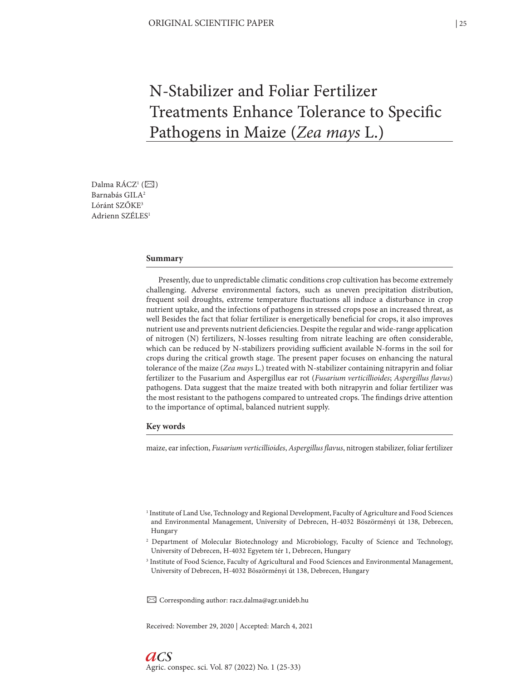# N-Stabilizer and Foliar Fertilizer Treatments Enhance Tolerance to Specific Pathogens in Maize (*Zea mays* L.)

Dalma RÁCZ<sup>1</sup> ( $\boxtimes$ ) Barnabás GILA<sup>2</sup> Lóránt SZŐKE3 Adrienn SZÉLES1

## **Summary**

Presently, due to unpredictable climatic conditions crop cultivation has become extremely challenging. Adverse environmental factors, such as uneven precipitation distribution, frequent soil droughts, extreme temperature fluctuations all induce a disturbance in crop nutrient uptake, and the infections of pathogens in stressed crops pose an increased threat, as well Besides the fact that foliar fertilizer is energetically beneficial for crops, it also improves nutrient use and prevents nutrient deficiencies. Despite the regular and wide-range application of nitrogen (N) fertilizers, N-losses resulting from nitrate leaching are often considerable, which can be reduced by N-stabilizers providing sufficient available N-forms in the soil for crops during the critical growth stage. The present paper focuses on enhancing the natural tolerance of the maize (*Zea mays* L.) treated with N-stabilizer containing nitrapyrin and foliar fertilizer to the Fusarium and Aspergillus ear rot (*Fusarium verticillioides*; *Aspergillus flavus*) pathogens. Data suggest that the maize treated with both nitrapyrin and foliar fertilizer was the most resistant to the pathogens compared to untreated crops. The findings drive attention to the importance of optimal, balanced nutrient supply.

#### **Key words**

maize, ear infection, *Fusarium verticillioides*, *Aspergillus flavus*, nitrogen stabilizer, foliar fertilizer

- <sup>1</sup> Institute of Land Use, Technology and Regional Development, Faculty of Agriculture and Food Sciences and Environmental Management, University of Debrecen, H-4032 Böszörményi út 138, Debrecen, Hungary
- 2 Department of Molecular Biotechnology and Microbiology, Faculty of Science and Technology, University of Debrecen, H-4032 Egyetem tér 1, Debrecen, Hungary
- <sup>3</sup> Institute of Food Science, Faculty of Agricultural and Food Sciences and Environmental Management, University of Debrecen, H-4032 Böszörményi út 138, Debrecen, Hungary

 $\boxtimes$  Corresponding author: racz.dalma@agr.unideb.hu

Received: November 29, 2020 | Accepted: March 4, 2021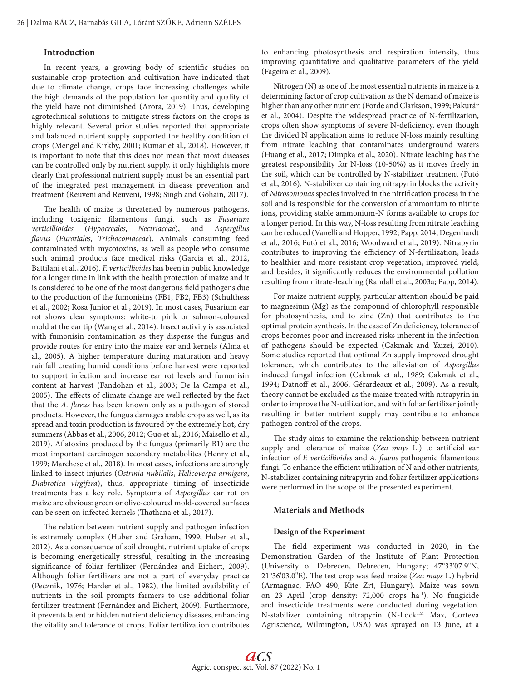# **Introduction**

In recent years, a growing body of scientific studies on sustainable crop protection and cultivation have indicated that due to climate change, crops face increasing challenges while the high demands of the population for quantity and quality of the yield have not diminished (Arora, 2019). Thus, developing agrotechnical solutions to mitigate stress factors on the crops is highly relevant. Several prior studies reported that appropriate and balanced nutrient supply supported the healthy condition of crops (Mengel and Kirkby, 2001; Kumar et al., 2018). However, it is important to note that this does not mean that most diseases can be controlled only by nutrient supply, it only highlights more clearly that professional nutrient supply must be an essential part of the integrated pest management in disease prevention and treatment (Reuveni and Reuveni, 1998; Singh and Gohain, 2017).

The health of maize is threatened by numerous pathogens, including toxigenic filamentous fungi, such as *Fusarium verticillioides* (*Hypocreales, Nectriaceae*), and *Aspergillus flavus* (*Eurotiales, Trichocomaceae*). Animals consuming feed contaminated with mycotoxins, as well as people who consume such animal products face medical risks (Garcia et al., 2012, Battilani et al., 2016). *F. verticillioides* has been in public knowledge for a longer time in link with the health protection of maize and it is considered to be one of the most dangerous field pathogens due to the production of the fumonisins (FB1, FB2, FB3) (Schulthess et al., 2002; Rosa Junior et al., 2019). In most cases, Fusarium ear rot shows clear symptoms: white-to pink or salmon-coloured mold at the ear tip (Wang et al., 2014). Insect activity is associated with fumonisin contamination as they disperse the fungus and provide routes for entry into the maize ear and kernels (Alma et al., 2005). A higher temperature during maturation and heavy rainfall creating humid conditions before harvest were reported to support infection and increase ear rot levels and fumonisin content at harvest (Fandohan et al., 2003; De la Campa et al., 2005). The effects of climate change are well reflected by the fact that the *A. flavus* has been known only as a pathogen of stored products. However, the fungus damages arable crops as well, as its spread and toxin production is favoured by the extremely hot, dry summers (Abbas et al., 2006, 2012; Guo et al., 2016; Maisello et al., 2019). Aflatoxins produced by the fungus (primarily B1) are the most important carcinogen secondary metabolites (Henry et al., 1999; Marchese et al., 2018). In most cases, infections are strongly linked to insect injuries (*Ostrinia nubilalis*, *Helicoverpa armigera*, *Diabrotica virgifera*), thus, appropriate timing of insecticide treatments has a key role. Symptoms of *Aspergillus* ear rot on maize are obvious: green or olive-coloured mold-covered surfaces can be seen on infected kernels (Thathana et al., 2017).

The relation between nutrient supply and pathogen infection is extremely complex (Huber and Graham, 1999; Huber et al., 2012). As a consequence of soil drought, nutrient uptake of crops is becoming energetically stressful, resulting in the increasing significance of foliar fertilizer (Fernández and Eichert, 2009). Although foliar fertilizers are not a part of everyday practice (Pecznik, 1976; Harder et al., 1982), the limited availability of nutrients in the soil prompts farmers to use additional foliar fertilizer treatment (Fernández and Eichert, 2009). Furthermore, it prevents latent or hidden nutrient deficiency diseases, enhancing the vitality and tolerance of crops. Foliar fertilization contributes to enhancing photosynthesis and respiration intensity, thus improving quantitative and qualitative parameters of the yield (Fageira et al., 2009).

Nitrogen (N) as one of the most essential nutrients in maize is a determining factor of crop cultivation as the N demand of maize is higher than any other nutrient (Forde and Clarkson, 1999; Pakurár et al., 2004). Despite the widespread practice of N-fertilization, crops often show symptoms of severe N-deficiency, even though the divided N application aims to reduce N-loss mainly resulting from nitrate leaching that contaminates underground waters (Huang et al., 2017; Dimpka et al., 2020). Nitrate leaching has the greatest responsibility for N-loss (10-50%) as it moves freely in the soil, which can be controlled by N-stabilizer treatment (Futó et al., 2016). N-stabilizer containing nitrapyrin blocks the activity of *Nitrosomonas* species involved in the nitrification process in the soil and is responsible for the conversion of ammonium to nitrite ions, providing stable ammonium-N forms available to crops for a longer period. In this way, N-loss resulting from nitrate leaching can be reduced (Vanelli and Hopper, 1992; Papp, 2014; Degenhardt et al., 2016; Futó et al., 2016; Woodward et al., 2019). Nitrapyrin contributes to improving the efficiency of N-fertilization, leads to healthier and more resistant crop vegetation, improved yield, and besides, it significantly reduces the environmental pollution resulting from nitrate-leaching (Randall et al., 2003a; Papp, 2014).

For maize nutrient supply, particular attention should be paid to magnesium (Mg) as the compound of chlorophyll responsible for photosynthesis, and to zinc (Zn) that contributes to the optimal protein synthesis. In the case of Zn deficiency, tolerance of crops becomes poor and increased risks inherent in the infection of pathogens should be expected (Cakmak and Yaizei, 2010). Some studies reported that optimal Zn supply improved drought tolerance, which contributes to the alleviation of *Aspergillus* induced fungal infection (Cakmak et al., 1989; Cakmak et al., 1994; Datnoff et al., 2006; Gérardeaux et al., 2009). As a result, theory cannot be excluded as the maize treated with nitrapyrin in order to improve the N-utilization, and with foliar fertilizer jointly resulting in better nutrient supply may contribute to enhance pathogen control of the crops.

The study aims to examine the relationship between nutrient supply and tolerance of maize (*Zea mays* L.) to artificial ear infection of *F. verticillioides* and *A. flavus* pathogenic filamentous fungi. To enhance the efficient utilization of N and other nutrients, N-stabilizer containing nitrapyrin and foliar fertilizer applications were performed in the scope of the presented experiment.

## **Materials and Methods**

#### **Design of the Experiment**

The field experiment was conducted in 2020, in the Demonstration Garden of the Institute of Plant Protection (University of Debrecen, Debrecen, Hungary; 47°33'07.9"N, 21°36'03.0"E). The test crop was feed maize (*Zea mays* L.) hybrid (Armagnac, FAO 490, Kite Zrt, Hungary). Maize was sown on 23 April (crop density: 72,000 crops ha<sup>-1</sup>). No fungicide and insecticide treatments were conducted during vegetation. N-stabilizer containing nitrapyrin (N-Lock™ Max, Corteva Agriscience, Wilmington, USA) was sprayed on 13 June, at a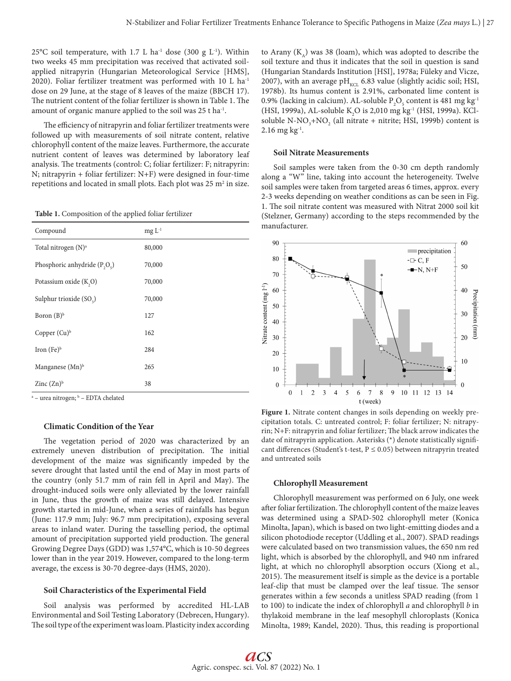25°C soil temperature, with 1.7 L ha<sup>-1</sup> dose (300 g  $L^{-1}$ ). Within two weeks 45 mm precipitation was received that activated soilapplied nitrapyrin (Hungarian Meteorological Service [HMS], 2020). Foliar fertilizer treatment was performed with 10 L ha-1 dose on 29 June, at the stage of 8 leaves of the maize (BBCH 17). The nutrient content of the foliar fertilizer is shown in Table 1. The amount of organic manure applied to the soil was 25 t ha-1.

The efficiency of nitrapyrin and foliar fertilizer treatments were followed up with measurements of soil nitrate content, relative chlorophyll content of the maize leaves. Furthermore, the accurate nutrient content of leaves was determined by laboratory leaf analysis. The treatments (control: C; foliar fertilizer: F; nitrapyrin: N; nitrapyrin + foliar fertilizer: N+F) were designed in four-time repetitions and located in small plots. Each plot was 25  $m^2$  in size.

**Table 1.** Composition of the applied foliar fertilizer

| Compound                        | $mg L^{-1}$ |
|---------------------------------|-------------|
| Total nitrogen $(N)^a$          | 80,000      |
| Phosphoric anhydride $(P_2O_5)$ | 70,000      |
| Potassium oxide $(K, O)$        | 70,000      |
| Sulphur trioxide $(SO3)$        | 70,000      |
| Boron $(B)^b$                   | 127         |
| Copper $(Cu)^b$                 | 162         |
| Iron $(Fe)^b$                   | 284         |
| Manganese (Mn) <sup>b</sup>     | 265         |
| Zinc $(Zn)^b$                   | 38          |

<sup>a</sup> – urea nitrogen; <sup>b</sup> – EDTA chelated

## **Climatic Condition of the Year**

The vegetation period of 2020 was characterized by an extremely uneven distribution of precipitation. The initial development of the maize was significantly impeded by the severe drought that lasted until the end of May in most parts of the country (only 51.7 mm of rain fell in April and May). The drought-induced soils were only alleviated by the lower rainfall in June, thus the growth of maize was still delayed. Intensive growth started in mid-June, when a series of rainfalls has begun (June: 117.9 mm; July: 96.7 mm precipitation), exposing several areas to inland water. During the tasselling period, the optimal amount of precipitation supported yield production. The general Growing Degree Days (GDD) was 1,574°C, which is 10-50 degrees lower than in the year 2019. However, compared to the long-term average, the excess is 30-70 degree-days (HMS, 2020).

#### **Soil Characteristics of the Experimental Field**

Soil analysis was performed by accredited HL-LAB Environmental and Soil Testing Laboratory (Debrecen, Hungary). The soil type of the experiment was loam. Plasticity index according to Arany  $(K_A)$  was 38 (loam), which was adopted to describe the soil texture and thus it indicates that the soil in question is sand (Hungarian Standards Institution [HSI], 1978a; Füleky and Vicze, 2007), with an average p $H_{\text{KCL}}$  6.83 value (slightly acidic soil; HSI, 1978b). Its humus content is 2.91%, carbonated lime content is 0.9% (lacking in calcium). AL-soluble  $P_2O_5$  content is 481 mg kg<sup>-1</sup> (HSI, 1999a), AL-soluble K<sub>2</sub>O is 2,010 mg kg<sup>-1</sup> (HSI, 1999a). KClsoluble N-NO<sub>3</sub>+NO<sub>2</sub> (all nitrate + nitrite; HSI, 1999b) content is  $2.16$  mg kg<sup>-1</sup>.

## **Soil Nitrate Measurements**

Soil samples were taken from the 0-30 cm depth randomly along a "W" line, taking into account the heterogeneity. Twelve soil samples were taken from targeted areas 6 times, approx. every 2-3 weeks depending on weather conditions as can be seen in Fig. 1. The soil nitrate content was measured with Nitrat 2000 soil kit (Stelzner, Germany) according to the steps recommended by the manufacturer.



**Figure 1.** Nitrate content changes in soils depending on weekly precipitation totals. C: untreated control; F: foliar fertilizer; N: nitrapyrin; N+F: nitrapyrin and foliar fertilizer; The black arrow indicates the date of nitrapyrin application. Asterisks (\*) denote statistically significant differences (Student's t-test,  $P \le 0.05$ ) between nitrapyrin treated and untreated soils

## **Chlorophyll Measurement**

Chlorophyll measurement was performed on 6 July, one week after foliar fertilization. The chlorophyll content of the maize leaves was determined using a SPAD-502 chlorophyll meter (Konica Minolta, Japan), which is based on two light-emitting diodes and a silicon photodiode receptor (Uddling et al., 2007). SPAD readings were calculated based on two transmission values, the 650 nm red light, which is absorbed by the chlorophyll, and 940 nm infrared light, at which no chlorophyll absorption occurs (Xiong et al., 2015). The measurement itself is simple as the device is a portable leaf-clip that must be clamped over the leaf tissue. The sensor generates within a few seconds a unitless SPAD reading (from 1 to 100) to indicate the index of chlorophyll *a* and chlorophyll *b* in thylakoid membrane in the leaf mesophyll chloroplasts (Konica Minolta, 1989; Kandel, 2020). Thus, this reading is proportional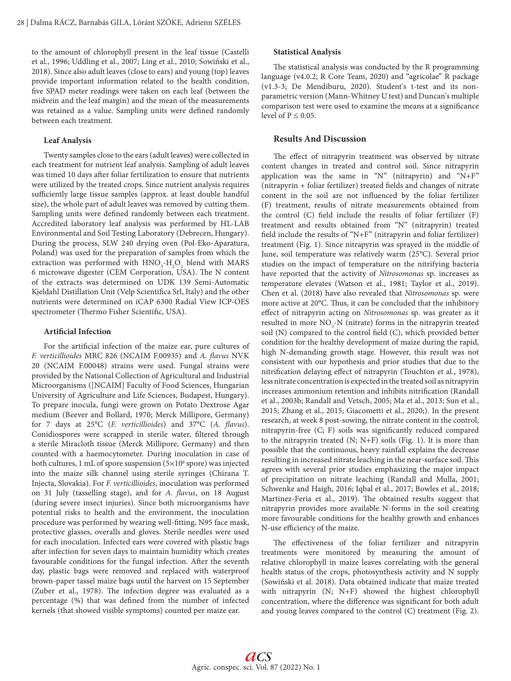to the amount of chlorophyll present in the leaf tissue (Castelli et al., 1996; Uddling et al., 2007; Ling et al., 2010; Sowiński et al., 2018). Since also adult leaves (close to ears) and young (top) leaves provide important information related to the health condition, five SPAD meter readings were taken on each leaf (between the midvein and the leaf margin) and the mean of the measurements was retained as a value. Sampling units were defined randomly between each treatment.

#### **Leaf Analysis**

Twenty samples close to the ears (adult leaves) were collected in each treatment for nutrient leaf analysis. Sampling of adult leaves was timed 10 days after foliar fertilization to ensure that nutrients were utilized by the treated crops. Since nutrient analysis requires sufficiently large tissue samples (approx. at least double handful size), the whole part of adult leaves was removed by cutting them. Sampling units were defined randomly between each treatment. Accredited laboratory leaf analysis was performed by HL-LAB Environmental and Soil Testing Laboratory (Debrecen, Hungary). During the process, SLW 240 drying oven (Pol-Eko-Aparatura, Poland) was used for the preparation of samples from which the extraction was performed with  $HNO<sub>3</sub>-H<sub>2</sub>O<sub>2</sub>$  blend with MARS 6 microwave digester (CEM Corporation, USA). The N content of the extracts was determined on UDK 139 Semi-Automatic Kjeldahl Distillation Unit (Velp Scientifica Srl, Italy) and the other nutrients were determined on iCAP 6300 Radial View ICP-OES spectrometer (Thermo Fisher Scientific, USA).

## **Artificial Infection**

For the artificial infection of the maize ear, pure cultures of *F. verticillioides* MRC 826 (NCAIM F.00935) and *A. flavus* NVK 20 (NCAIM F.00048) strains were used. Fungal strains were provided by the National Collection of Agricultural and Industrial Microorganisms ([NCAIM] Faculty of Food Sciences, Hungarian University of Agriculture and Life Sciences, Budapest, Hungary). To prepare inocula, fungi were grown on Potato Dextrose Agar medium (Beever and Bollard, 1970; Merck Millipore, Germany) for 7 days at 25°C (*F. verticillioides*) and 37°C (*A. flavus*). Conidiospores were scrapped in sterile water, filtered through a sterile Miracloth tissue (Merck Millipore, Germany) and then counted with a haemocytometer. During inoculation in case of both cultures, 1 mL of spore suspension (5×10<sup>6</sup> spore) was injected into the maize silk channel using sterile syringes (Chirana T. Injecta, Slovakia). For *F. verticillioides*, inoculation was performed on 31 July (tasselling stage), and for *A. flavus*, on 18 August (during severe insect injuries). Since both microorganisms have potential risks to health and the environment, the inoculation procedure was performed by wearing well-fitting, N95 face mask, protective glasses, overalls and gloves. Sterile needles were used for each inoculation. Infected ears were covered with plastic bags after infection for seven days to maintain humidity which creates favourable conditions for the fungal infection. After the seventh day, plastic bags were removed and replaced with waterproof brown-paper tassel maize bags until the harvest on 15 September (Zuber et al., 1978). The infection degree was evaluated as a percentage (%) that was defined from the number of infected kernels (that showed visible symptoms) counted per maize ear.

## **Statistical Analysis**

The statistical analysis was conducted by the R programming language (v4.0.2; R Core Team, 2020) and "agricolae" R package (v1.3-3; De Mendiburu, 2020). Student's t-test and its nonparametric version (Mann-Whitney U test) and Duncan's multiple comparison test were used to examine the means at a significance level of  $P \leq 0.05$ .

# **Results And Discussion**

The effect of nitrapyrin treatment was observed by nitrate content changes in treated and control soil. Since nitrapyrin application was the same in "N" (nitrapyrin) and "N+F" (nitrapyrin + foliar fertilizer) treated fields and changes of nitrate content in the soil are not influenced by the foliar fertilizer (F) treatment, results of nitrate measurements obtained from the control (C) field include the results of foliar fertilizer (F) treatment and results obtained from "N" (nitrapyrin) treated field include the results of "N+F" (nitrapyrin and foliar fertilizer) treatment (Fig. 1). Since nitrapyrin was sprayed in the middle of June, soil temperature was relatively warm (25°C). Several prior studies on the impact of temperature on the nitrifying bacteria have reported that the activity of *Nitrosomonas* sp. increases as temperature elevates (Watson et al., 1981; Taylor et al., 2019). Chen et al. (2018) have also revealed that *Nitrosomonas* sp. were more active at 20°C. Thus, it can be concluded that the inhibitory effect of nitrapyrin acting on *Nitrosomonas* sp. was greater as it resulted in more  $NO<sub>3</sub>$ -N (nitrate) forms in the nitrapyrin treated soil (N) compared to the control field (C), which provided better condition for the healthy development of maize during the rapid, high N-demanding growth stage. However, this result was not consistent with our hypothesis and prior studies that due to the nitrification delaying effect of nitrapyrin (Touchton et al., 1978), less nitrate concentration is expected in the treated soil as nitrapyrin increases ammonium retention and inhibits nitrification (Randall et al., 2003b; Randall and Vetsch, 2005; Ma et al., 2013; Sun et al., 2015; Zhang et al., 2015; Giacometti et al., 2020;). In the present research, at week 8 post-sowing, the nitrate content in the control, nitrapyrin-free (C; F) soils was significantly reduced compared to the nitrapyrin treated (N; N+F) soils (Fig. 1). It is more than possible that the continuous, heavy rainfall explains the decrease resulting in increased nitrate leaching in the near-surface soil. This agrees with several prior studies emphasizing the major impact of precipitation on nitrate leaching (Randall and Mulla, 2001; Schwenke and Haigh, 2016; Iqbal et al., 2017; Bowles et al., 2018; Martinez-Feria et al., 2019). The obtained results suggest that nitrapyrin provides more available N-forms in the soil creating more favourable conditions for the healthy growth and enhances N-use efficiency of the maize.

The effectiveness of the foliar fertilizer and nitrapyrin treatments were monitored by measuring the amount of relative chlorophyll in maize leaves correlating with the general health status of the crops, photosynthesis activity and N supply (Sowiński et al. 2018). Data obtained indicate that maize treated with nitrapyrin (N; N+F) showed the highest chlorophyll concentration, where the difference was significant for both adult and young leaves compared to the control (C) treatment (Fig. 2).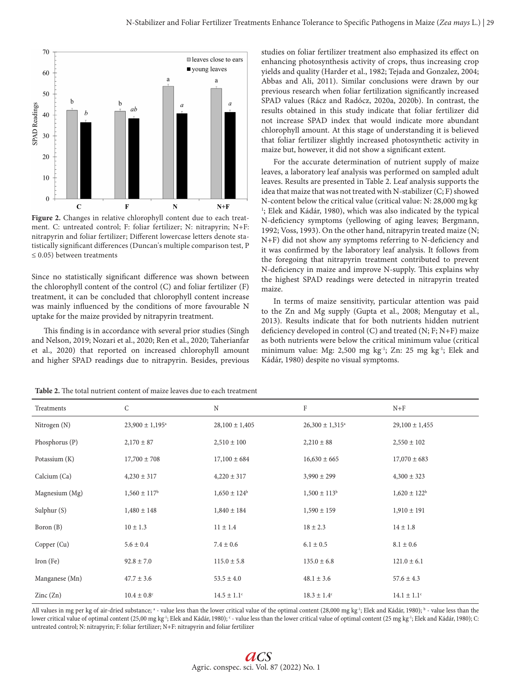

**Figure 2.** Changes in relative chlorophyll content due to each treatment. C: untreated control; F: foliar fertilizer; N: nitrapyrin; N+F: nitrapyrin and foliar fertilizer; Different lowercase letters denote statistically significant differences (Duncan's multiple comparison test, P  $\leq$  0.05) between treatments

Since no statistically significant difference was shown between the chlorophyll content of the control (C) and foliar fertilizer (F) treatment, it can be concluded that chlorophyll content increase was mainly influenced by the conditions of more favourable N uptake for the maize provided by nitrapyrin treatment.

This finding is in accordance with several prior studies (Singh and Nelson, 2019; Nozari et al., 2020; Ren et al., 2020; Taherianfar et al., 2020) that reported on increased chlorophyll amount and higher SPAD readings due to nitrapyrin. Besides, previous

studies on foliar fertilizer treatment also emphasized its effect on enhancing photosynthesis activity of crops, thus increasing crop yields and quality (Harder et al., 1982; Tejada and Gonzalez, 2004; Abbas and Ali, 2011). Similar conclusions were drawn by our previous research when foliar fertilization significantly increased SPAD values (Rácz and Radócz, 2020a, 2020b). In contrast, the results obtained in this study indicate that foliar fertilizer did not increase SPAD index that would indicate more abundant chlorophyll amount. At this stage of understanding it is believed that foliar fertilizer slightly increased photosynthetic activity in maize but, however, it did not show a significant extent.

For the accurate determination of nutrient supply of maize leaves, a laboratory leaf analysis was performed on sampled adult leaves. Results are presented in Table 2. Leaf analysis supports the idea that maize that was not treated with N-stabilizer (C; F) showed N-content below the critical value (critical value: N: 28,000 mg kg-<sup>1</sup>; Elek and Kádár, 1980), which was also indicated by the typical N-deficiency symptoms (yellowing of aging leaves; Bergmann, 1992; Voss, 1993). On the other hand, nitrapyrin treated maize (N; N+F) did not show any symptoms referring to N-deficiency and it was confirmed by the laboratory leaf analysis. It follows from the foregoing that nitrapyrin treatment contributed to prevent N-deficiency in maize and improve N-supply. This explains why the highest SPAD readings were detected in nitrapyrin treated maize.

In terms of maize sensitivity, particular attention was paid to the Zn and Mg supply (Gupta et al., 2008; Mengutay et al., 2013). Results indicate that for both nutrients hidden nutrient deficiency developed in control (C) and treated (N; F; N+F) maize as both nutrients were below the critical minimum value (critical minimum value: Mg: 2,500 mg kg-1; Zn: 25 mg kg-1; Elek and Kádár, 1980) despite no visual symptoms.

| Treatments               | C                          | $\rm N$            | F                          | $N+F$              |
|--------------------------|----------------------------|--------------------|----------------------------|--------------------|
| Nitrogen (N)             | $23,900 \pm 1,195^{\circ}$ | $28,100 \pm 1,405$ | $26,300 \pm 1,315^{\circ}$ | $29,100 \pm 1,455$ |
| Phosphorus (P)           | $2,170 \pm 87$             | $2,510 \pm 100$    | $2,210 \pm 88$             | $2,550 \pm 102$    |
| Potassium (K)            | $17,700 \pm 708$           | $17,100 \pm 684$   | $16,630 \pm 665$           | $17,070 \pm 683$   |
| Calcium (Ca)             | $4,230 \pm 317$            | $4,220 \pm 317$    | $3,990 \pm 299$            | $4,300 \pm 323$    |
| Magnesium (Mg)           | $1,560 \pm 117^{\rm b}$    | $1,650 \pm 124^b$  | $1,500 \pm 113^b$          | $1,620 \pm 122^b$  |
| Sulphur $(S)$            | $1,480 \pm 148$            | $1,840 \pm 184$    | $1,590 \pm 159$            | $1,910 \pm 191$    |
| Boron (B)                | $10 \pm 1.3$               | $11 \pm 1.4$       | $18 \pm 2.3$               | $14 \pm 1.8$       |
| Copper (Cu)              | $5.6 \pm 0.4$              | $7.4 \pm 0.6$      | $6.1 \pm 0.5$              | $8.1 \pm 0.6$      |
| Iron $(Fe)$              | $92.8 \pm 7.0$             | $115.0 \pm 5.8$    | $135.0 \pm 6.8$            | $121.0 \pm 6.1$    |
| Manganese (Mn)           | $47.7 \pm 3.6$             | $53.5 \pm 4.0$     | $48.1 \pm 3.6$             | $57.6 \pm 4.3$     |
| $\text{Zinc}(\text{Zn})$ | $10.4 \pm 0.8^{\circ}$     | $14.5 \pm 1.1^c$   | $18.3 \pm 1.4^c$           | $14.1 \pm 1.1^c$   |

**Table 2.** The total nutrient content of maize leaves due to each treatment

All values in mg per kg of air-dried substance; ª - value less than the lower critical value of the optimal content (28,000 mg kg<sup>1</sup>; Elek and Kádár, 1980); <sup>b</sup> - value less than the lower critical value of optimal content (25,00 mg kg<sup>-1</sup>; Elek and Kádár, 1980); <sup>c</sup> - value less than the lower critical value of optimal content (25 mg kg<sup>-1</sup>; Elek and Kádár, 1980); C: untreated control; N: nitrapyrin; F: foliar fertilizer; N+F: nitrapyrin and foliar fertilizer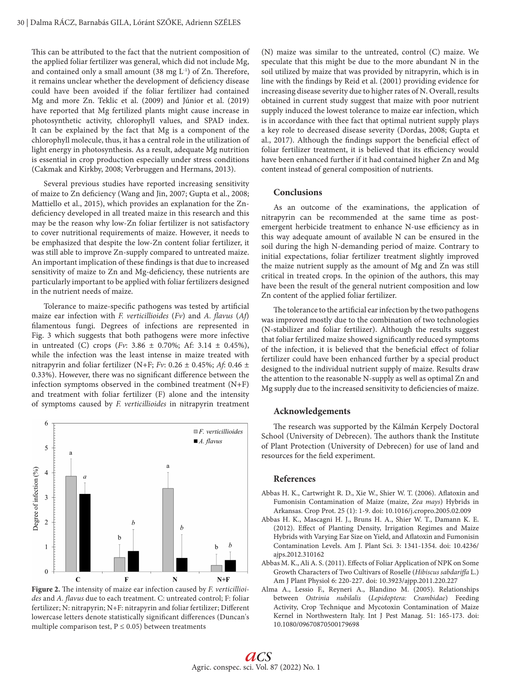This can be attributed to the fact that the nutrient composition of the applied foliar fertilizer was general, which did not include Mg, and contained only a small amount (38 mg L-1) of Zn. Therefore, it remains unclear whether the development of deficiency disease could have been avoided if the foliar fertilizer had contained Mg and more Zn. Teklic et al. (2009) and Júnior et al. (2019) have reported that Mg fertilized plants might cause increase in photosynthetic activity, chlorophyll values, and SPAD index. It can be explained by the fact that Mg is a component of the chlorophyll molecule, thus, it has a central role in the utilization of light energy in photosynthesis. As a result, adequate Mg nutrition is essential in crop production especially under stress conditions (Cakmak and Kirkby, 2008; Verbruggen and Hermans, 2013).

Several previous studies have reported increasing sensitivity of maize to Zn deficiency (Wang and Jin, 2007; Gupta et al., 2008; Mattiello et al., 2015), which provides an explanation for the Zndeficiency developed in all treated maize in this research and this may be the reason why low-Zn foliar fertilizer is not satisfactory to cover nutritional requirements of maize. However, it needs to be emphasized that despite the low-Zn content foliar fertilizer, it was still able to improve Zn-supply compared to untreated maize. An important implication of these findings is that due to increased sensitivity of maize to Zn and Mg-deficiency, these nutrients are particularly important to be applied with foliar fertilizers designed in the nutrient needs of maize.

Tolerance to maize-specific pathogens was tested by artificial maize ear infection with *F. verticillioides* (*Fv*) and *A. flavus* (*Af*) filamentous fungi. Degrees of infections are represented in Fig. 3 which suggests that both pathogens were more infective in untreated (C) crops (*Fv*:  $3.86 \pm 0.70\%$ ; Af:  $3.14 \pm 0.45\%$ ), while the infection was the least intense in maize treated with nitrapyrin and foliar fertilizer (N+F; *Fv*: 0.26 ± 0.45%; *Af*: 0.46 ± 0.33%). However, there was no significant difference between the infection symptoms observed in the combined treatment (N+F) and treatment with foliar fertilizer (F) alone and the intensity of symptoms caused by *F. verticillioides* in nitrapyrin treatment



**Figure 2.** The intensity of maize ear infection caused by *F. verticillioides* and *A. flavus* due to each treatment. C: untreated control; F: foliar fertilizer; N: nitrapyrin; N+F: nitrapyrin and foliar fertilizer; Different lowercase letters denote statistically significant differences (Duncan's multiple comparison test,  $P \le 0.05$ ) between treatments

(N) maize was similar to the untreated, control (C) maize. We speculate that this might be due to the more abundant N in the soil utilized by maize that was provided by nitrapyrin, which is in line with the findings by Reid et al. (2001) providing evidence for increasing disease severity due to higher rates of N. Overall, results obtained in current study suggest that maize with poor nutrient supply induced the lowest tolerance to maize ear infection, which is in accordance with thee fact that optimal nutrient supply plays a key role to decreased disease severity (Dordas, 2008; Gupta et al., 2017). Although the findings support the beneficial effect of foliar fertilizer treatment, it is believed that its efficiency would have been enhanced further if it had contained higher Zn and Mg content instead of general composition of nutrients.

# **Conclusions**

As an outcome of the examinations, the application of nitrapyrin can be recommended at the same time as postemergent herbicide treatment to enhance N-use efficiency as in this way adequate amount of available N can be ensured in the soil during the high N-demanding period of maize. Contrary to initial expectations, foliar fertilizer treatment slightly improved the maize nutrient supply as the amount of Mg and Zn was still critical in treated crops. In the opinion of the authors, this may have been the result of the general nutrient composition and low Zn content of the applied foliar fertilizer.

The tolerance to the artificial ear infection by the two pathogens was improved mostly due to the combination of two technologies (N-stabilizer and foliar fertilizer). Although the results suggest that foliar fertilized maize showed significantly reduced symptoms of the infection, it is believed that the beneficial effect of foliar fertilizer could have been enhanced further by a special product designed to the individual nutrient supply of maize. Results draw the attention to the reasonable N-supply as well as optimal Zn and Mg supply due to the increased sensitivity to deficiencies of maize.

## **Acknowledgements**

The research was supported by the Kálmán Kerpely Doctoral School (University of Debrecen). The authors thank the Institute of Plant Protection (University of Debrecen) for use of land and resources for the field experiment.

## **References**

- Abbas H. K., Cartwright R. D., Xie W., Shier W. T. (2006). Aflatoxin and Fumonisin Contamination of Maize (maize, *Zea mays*) Hybrids in Arkansas. Crop Prot. 25 (1): 1-9. doi: 10.1016/j.cropro.2005.02.009
- Abbas H. K., Mascagni H. J., Bruns H. A., Shier W. T., Damann K. E. (2012). Effect of Planting Density, Irrigation Regimes and Maize Hybrids with Varying Ear Size on Yield, and Aflatoxin and Fumonisin Contamination Levels. Am J. Plant Sci. 3: 1341-1354. doi: 10.4236/ ajps.2012.310162
- Abbas M. K., Ali A. S. (2011). Effects of Foliar Application of NPK on Some Growth Characters of Two Cultivars of Roselle (*Hibiscus sabdariffa* L.) Am J Plant Physiol 6: 220-227. doi: 10.3923/ajpp.2011.220.227
- Alma A., Lessio F., Reyneri A., Blandino M. (2005). Relationships between *Ostrinia nubilalis* (*Lepidoptera: Crambidae*) Feeding Activity, Crop Technique and Mycotoxin Contamination of Maize Kernel in Northwestern Italy. Int J Pest Manag. 51: 165-173. doi: 10.1080/09670870500179698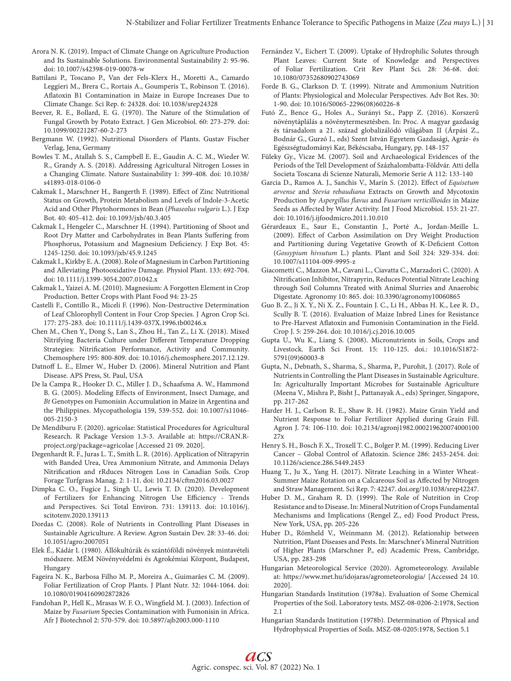- Arora N. K. (2019). Impact of Climate Change on Agriculture Production and Its Sustainable Solutions. Environmental Sustainability 2: 95-96. doi: 10.1007/s42398-019-00078-w
- Battilani P., Toscano P., Van der Fels-Klerx H., Moretti A., Camardo Leggieri M., Brera C., Rortais A., Goumperis T., Robinson T. (2016). Aflatoxin B1 Contamination in Maize in Europe Increases Due to Climate Change. Sci Rep. 6: 24328. doi: 10.1038/srep24328
- Beever, R. E., Bollard, E. G. (1970). The Nature of the Stimulation of Fungal Growth by Potato Extract. J Gen Microbiol. 60: 273-279. doi: 10.1099/00221287-60-2-273
- Bergmann W. (1992). Nutritional Disorders of Plants. Gustav Fischer Verlag, Jena, Germany
- Bowles T. M., Atallah S. S., Campbell E. E., Gaudin A. C. M., Wieder W. R., Grandy A. S. (2018). Addressing Agricultural Nitrogen Losses in a Changing Climate. Nature Sustainability 1: 399-408. doi: 10.1038/ s41893-018-0106-0
- Cakmak I., Marschner H., Bangerth F. (1989). Effect of Zinc Nutritional Status on Growth, Protein Metabolism and Levels of Indole-3-Acetic Acid and Other Phytohormones in Bean (*Phaseolus vulgaris* L.). J Exp Bot. 40: 405-412. doi: 10.1093/jxb/40.3.405
- Cakmak I., Hengeler C., Marschner H. (1994). Partitioning of Shoot and Root Dry Matter and Carbohydrates in Bean Plants Suffering from Phosphorus, Potassium and Magnesium Deficiency. J Exp Bot. 45: 1245-1250. doi: 10.1093/jxb/45.9.1245
- Cakmak I., Kirkby E. A. (2008). Role of Magnesium in Carbon Partitioning and Alleviating Photooxidative Damage. Physiol Plant. 133: 692-704. doi: 10.1111/j.1399-3054.2007.01042.x
- Cakmak I., Yaizei A. M. (2010). Magnesium: A Forgotten Element in Crop Production. Better Crops with Plant Food 94: 23-25
- Castelli F., Contillo R., Miceli F. (1996). Non-Destructive Determination of Leaf Chlorophyll Content in Four Crop Species. J Agron Crop Sci. 177: 275-283. doi: 10.1111/j.1439-037X.1996.tb00246.x
- Chen M., Chen Y., Dong S., Lan S., Zhou H., Tan Z., Li X. (2018). Mixed Nitrifying Bacteria Culture under Different Temperature Dropping Strategies: Nitrification Performance, Activity and Community. Chemosphere 195: 800-809. doi: 10.1016/j.chemosphere.2017.12.129.
- Datnoff L. E., Elmer W., Huber D. (2006). Mineral Nutrition and Plant Disease. APS Press, St. Paul, USA
- De la Campa R., Hooker D. C., Miller J. D., Schaafsma A. W., Hammond B. G. (2005). Modeling Effects of Environment, Insect Damage, and *Bt* Genotypes on Fumonisin Accumulation in Maize in Argentina and the Philippines. Mycopathologia 159, 539-552. doi: 10.1007/s11046- 005-2150-3
- De Mendiburu F. (2020). agricolae: Statistical Procedures for Agricultural Research. R Package Version 1.3-3. Available at: https://CRAN.Rproject.org/package=agricolae [Accessed 21 09. 2020].
- Degenhardt R. F., Juras L. T., Smith L. R. (2016). Application of Nitrapyrin with Banded Urea, Urea Ammonium Nitrate, and Ammonia Delays Nitrification and rRduces Nitrogen Loss in Canadian Soils. Crop Forage Turfgrass Manag. 2: 1-11. doi: 10.2134/cftm2016.03.0027
- Dimpka C. O., Fugice J., Singh U., Lewis T. D. (2020). Development of Fertilizers for Enhancing Nitrogen Use Efficiency - Trends and Perspectives. Sci Total Environ. 731: 139113. doi: 10.1016/j. scitotenv.2020.139113
- Dordas C. (2008). Role of Nutrients in Controlling Plant Diseases in Sustainable Agriculture. A Review. Agron Sustain Dev. 28: 33-46. doi: 10.1051/agro:2007051
- Elek É., Kádár I. (1980). Állókultúrák és szántóföldi növények mintavételi módszere. MÉM Növényvédelmi és Agrokémiai Központ, Budapest, Hungary
- Fageira N. K., Barbosa Filho M. P., Moreira A., Guimarães C. M. (2009). Foliar Fertilization of Crop Plants. J Plant Nutr. 32: 1044-1064. doi: 10.1080/01904160902872826
- Fandohan P., Hell K., Mrasas W. F. O., Wingfield M. J. (2003). Infection of Maize by *Fusarium* Species Contamination with Fumonisin in Africa. Afr J Biotechnol 2: 570-579. doi: 10.5897/ajb2003.000-1110
- Fernández V., Eichert T. (2009). Uptake of Hydrophilic Solutes through Plant Leaves: Current State of Knowledge and Perspectives of Foliar Fertilization. Crit Rev Plant Sci. 28: 36-68. doi: 10.1080/07352680902743069
- Forde B. G., Clarkson D. T. (1999). Nitrate and Ammonium Nutrition of Plants: Physiological and Molecular Perspectives. Adv Bot Res. 30: 1-90. doi: 10.1016/S0065-2296(08)60226-8
- Futó Z., Bence G., Holes A., Surányi Sz., Papp Z. (2016). Korszerű növénytáplálás a növénytermesztésben. In: Proc. A magyar gazdaság és társadalom a 21. század globalizálódó világában II (Árpási Z., Bodnár G., Gurzó I., eds) Szent István Egyetem Gazdasági, Agrár- és Egészségtudományi Kar, Békéscsaba, Hungary, pp. 148-157
- Füleky Gy., Vicze M. (2007). Soil and Archaeological Evidences of the Periods of the Tell Development of Százhalombatta-Földvár. Atti della Societa Toscana di Scienze Naturali, Memorie Serie A 112: 133-140
- Garcia D., Ramos A. J., Sanchis V., Marín S. (2012). Effect of *Equisetum arvense* and *Stevia rebaudiana* Extracts on Growth and Mycotoxin Production by *Aspergillus flavus* and *Fusarium verticillioides* in Maize Seeds as Affected by Water Activity. Int J Food Microbiol. 153: 21-27. doi: 10.1016/j.ijfoodmicro.2011.10.010
- Gérardeaux E., Saur E., Constantin J., Porté A., Jordan-Meille L. (2009). Effect of Carbon Assimilation on Dry Weight Production and Partitioning during Vegetative Growth of K-Deficient Cotton (*Gossypium hivsutum* L.) plants. Plant and Soil 324: 329-334. doi: 10.1007/s11104-009-9995-z
- Giacometti C., Mazzon M., Cavani L., Ciavatta C., Marzadori C. (2020). A Nitrification Inhibitor, Nitrapyrin, Reduces Potential Nitrate Leaching through Soil Columns Treated with Animal Slurries and Anaerobic Digestate. Agronomy 10: 865. doi: 10.3390/agronomy10060865
- Guo B. Z., Ji X. Y., Ni X. Z., Fountain J. C., Li H., Abbas H. K., Lee R. D., Scully B. T. (2016). Evaluation of Maize Inbred Lines for Resistance to Pre-Harvest Aflatoxin and Fumonisin Contamination in the Field. Crop J. 5: 259-264. doi: 10.1016/j.cj.2016.10.005
- Gupta U., Wu K., Liang S. (2008). Micronutrients in Soils, Crops and Livestock. Earth Sci Front. 15: 110-125. doi.: 10.1016/S1872- 5791(09)60003-8
- Gupta, N., Debnath, S., Sharma, S., Sharma, P., Purohit, J. (2017). Role of Nutrients in Controlling the Plant Diseases in Sustainable Agriculture. In: Agriculturally Important Microbes for Sustainable Agriculture (Meena V., Mishra P., Bisht J., Pattanayak A., eds) Springer, Singapore, pp. 217-262
- Harder H. J., Carlson R. E., Shaw R. H. (1982). Maize Grain Yield and Nutrient Response to Foliar Fertilizer Applied during Grain Fill. Agron J. 74: 106-110. doi: 10.2134/agronj1982.000219620074000100 27x
- Henry S. H., Bosch F. X., Troxell T. C., Bolger P. M. (1999). Reducing Liver Cancer – Global Control of Aflatoxin. Science 286: 2453-2454. doi: 10.1126/science.286.5449.2453
- Huang T., Ju X., Yang H. (2017). Nitrate Leaching in a Winter Wheat-Summer Maize Rotation on a Calcareous Soil as Affected by Nitrogen and Straw Management. Sci Rep. 7: 42247. doi.org/10.1038/srep42247.
- Huber D. M., Graham R. D. (1999). The Role of Nutrition in Crop Resistance and to Disease. In: Mineral Nutrition of Crops Fundamental Mechanisms and Implications (Rengel Z., ed) Food Product Press, New York, USA, pp. 205-226
- Huber D., Römheld V., Weinmann M. (2012). Relationship between Nutrition, Plant Diseases and Pests. In: Marschner's Mineral Nutrition of Higher Plants (Marschner P., ed) Academic Press, Cambridge, USA, pp. 283-298
- Hungarian Meteorological Service (2020). Agrometeorology. Available at: https://www.met.hu/idojaras/agrometeorologia/ [Accessed 24 10. 2020].
- Hungarian Standards Institution (1978a). Evaluation of Some Chemical Properties of the Soil. Laboratory tests. MSZ-08-0206-2:1978, Section 2.1
- Hungarian Standards Institution (1978b). Determination of Physical and Hydrophysical Properties of Soils. MSZ-08-0205:1978, Section 5.1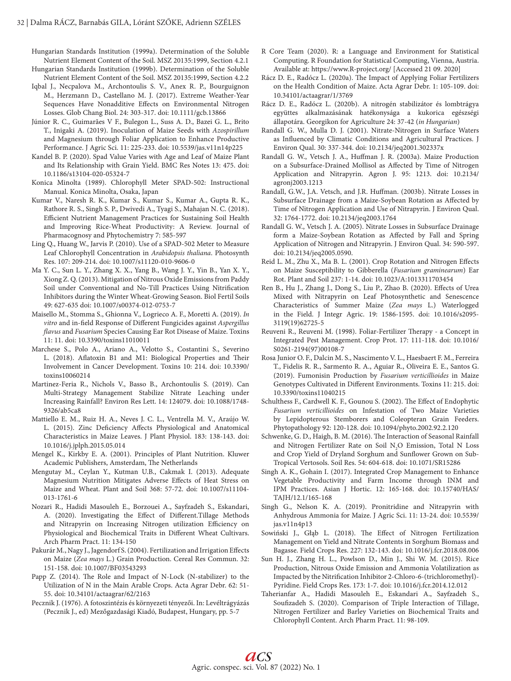Hungarian Standards Institution (1999a). Determination of the Soluble Nutrient Element Content of the Soil. MSZ 20135:1999, Section 4.2.1

- Hungarian Standards Institution (1999b). Determination of the Soluble Nutrient Element Content of the Soil. MSZ 20135:1999, Section 4.2.2
- Iqbal J., Necpalova M., Archontoulis S. V., Anex R. P., Bourguignon M., Herzmann D., Castellano M. J. (2017). Extreme Weather-Year Sequences Have Nonadditive Effects on Environmental Nitrogen Losses. Glob Chang Biol. 24: 303-317. doi: 10.1111/gcb.13866
- Júnior R. C., Guimarães V F., Bulegon L., Suss A. D., Bazei G. L., Brito T., Inigaki A. (2019). Inoculation of Maize Seeds with *Azospirillum* and Magnesium through Foliar Application to Enhance Productive Performance. J Agric Sci. 11: 225-233. doi: 10.5539/jas.v11n14p225
- Kandel B. P. (2020). Spad Value Varies with Age and Leaf of Maize Plant and Its Relationship with Grain Yield. BMC Res Notes 13: 475. doi: 10.1186/s13104-020-05324-7
- Konica Minolta (1989). Chlorophyll Meter SPAD-502: Instructional Manual. Konica Minolta, Osaka, Japan
- Kumar V., Naresh R. K., Kumar S., Kumar S., Kumar A., Gupta R. K., Rathore R. S., Singh S. P., Dwivedi A., Tyagi S., Mahajan N. C. (2018). Efficient Nutrient Management Practices for Sustaining Soil Health and Improving Rice-Wheat Productivity: A Review. Journal of Pharmacognosy and Phytochemistry 7: 585-597
- Ling Q., Huang W., Jarvis P. (2010). Use of a SPAD-502 Meter to Measure Leaf Chlorophyll Concentration in *Arabidopsis thaliana*. Photosynth Res. 107: 209-214. doi: 10.1007/s11120-010-9606-0
- Ma Y. C., Sun L. Y., Zhang X. X., Yang B., Wang J. Y., Yin B., Yan X. Y., Xiong Z. Q. (2013). Mitigation of Nitrous Oxide Emissions from Paddy Soil under Conventional and No-Till Practices Using Nitrification Inhibitors during the Winter Wheat-Growing Season. Biol Fertil Soils 49: 627-635 doi: 10.1007/s00374-012-0753-7
- Maisello M., Stomma S., Ghionna V., Logrieco A. F., Moretti A. (2019). *In vitro* and in-field Response of Different Fungicides against *Aspergillus flavus* and *Fusarium* Species Causing Ear Rot Disease of Maize. Toxins 11: 11. doi: 10.3390/toxins11010011
- Marchese S., Polo A., Ariano A., Velotto S., Costantini S., Severino L. (2018). Aflatoxin B1 and M1: Biological Properties and Their Involvement in Cancer Development. Toxins 10: 214. doi: 10.3390/ toxins10060214
- Martinez-Feria R., Nichols V., Basso B., Archontoulis S. (2019). Can Multi-Strategy Management Stabilize Nitrate Leaching under Increasing Rainfall? Environ Res Lett. 14: 124079. doi: 10.1088/1748- 9326/ab5ca8
- Mattiello E. M., Ruiz H. A., Neves J. C. L., Ventrella M. V., Araújo W. L. (2015). Zinc Deficiency Affects Physiological and Anatomical Characteristics in Maize Leaves. J Plant Physiol. 183: 138-143. doi: 10.1016/j.jplph.2015.05.014
- Mengel K., Kirkby E. A. (2001). Principles of Plant Nutrition. Kluwer Academic Publishers, Amsterdam, The Netherlands
- Mengutay M., Ceylan Y., Kutman U.B., Cakmak I. (2013). Adequate Magnesium Nutrition Mitigates Adverse Effects of Heat Stress on Maize and Wheat. Plant and Soil 368: 57-72. doi: 10.1007/s11104- 013-1761-6
- Nozari R., Hadidi Masouleh E., Borzouei A., Sayfzadeh S., Eskandari, A. (2020). Investigating the Effect of Different.Tillage Methods and Nitrapyrin on Increasing Nitrogen utilization Efficiency on Physiological and Biochemical Traits in Different Wheat Cultivars. Arch Pharm Pract. 11: 134-150
- Pakurár M., Nagy J., Jagendorf S. (2004). Fertilization and Irrigation Effects on Maize (*Zea mays* L.) Grain Production. Cereal Res Commun. 32: 151-158. doi: 10.1007/BF03543293
- Papp Z. (2014). The Role and Impact of N-Lock (N-stabilizer) to the Utilization of N in the Main Arable Crops. Acta Agrar Debr. 62: 51- 55. doi: 10.34101/actaagrar/62/2163
- Pecznik J. (1976). A fotoszintézis és környezeti tényezői. In: Levéltrágyázás (Pecznik J., ed) Mezőgazdasági Kiadó, Budapest, Hungary, pp. 5-7
- R Core Team (2020). R: a Language and Environment for Statistical Computing. R Foundation for Statistical Computing, Vienna, Austria. Available at: https://www.R-project.org/ [Accessed 21 09. 2020]
- Rácz D. E., Radócz L. (2020a). The Impact of Applying Foliar Fertilizers on the Health Condition of Maize. Acta Agrar Debr. 1: 105-109. doi: 10.34101/actaagrar/1/3769
- Rácz D. E., Radócz L. (2020b). A nitrogén stabilizátor és lombtrágya együttes alkalmazásának hatékonysága a kukorica egészségi állapotára. Georgikon for Agriculture 24: 37-42 (*in Hungarian*)
- Randall G. W., Mulla D. J. (2001). Nitrate-Nitrogen in Surface Waters as Influenced by Climatic Conditions and Agricultural Practices. J Environ Qual. 30: 337-344. doi: 10.2134/jeq2001.302337x
- Randall G. W., Vetsch J. A., Huffman J. R. (2003a). Maize Production on a Subsurface-Drained Mollisol as Affected by Time of Nitrogen Application and Nitrapyrin. Agron J. 95: 1213. doi: 10.2134/ agronj2003.1213
- Randall, G.W., J.A. Vetsch, and J.R. Huffman. (2003b). Nitrate Losses in Subsurface Drainage from a Maize-Soybean Rotation as Affected by Time of Nitrogen Application and Use of Nitrapyrin. J Environ Qual. 32: 1764-1772. doi: 10.2134/jeq2003.1764
- Randall G. W., Vetsch J. A. (2005). Nitrate Losses in Subsurface Drainage form a Maize-Soybean Rotation as Affected by Fall and Spring Application of Nitrogen and Nitrapyrin. J Environ Qual. 34: 590-597. doi: 10.2134/jeq2005.0590.
- Reid L. M., Zhu X., Ma B. L. (2001). Crop Rotation and Nitrogen Effects on Maize Susceptibility to Gibberella (*Fusarium graminearum*) Ear Rot. Plant and Soil 237: 1-14. doi: 10.1023/A:1013311703454
- Ren B., Hu J., Zhang J., Dong S., Liu P., Zhao B. (2020). Effects of Urea Mixed with Nitrapyrin on Leaf Photosynthetic and Senescence Characteristics of Summer Maize (*Zea mays* L.) Waterlogged in the Field. J Integr Agric. 19: 1586-1595. doi: 10.1016/s2095- 3119(19)62725-5
- Reuveni R., Reuveni M. (1998). Foliar-Fertilizer Therapy a Concept in Integrated Pest Management. Crop Prot. 17: 111-118. doi: 10.1016/ S0261-2194(97)00108-7
- Rosa Junior O. F., Dalcin M. S., Nascimento V. L., Haesbaert F. M., Ferreira T., Fidelis R. R., Sarmento R. A., Aguiar R., Oliveira E. E., Santos G. (2019). Fumonisin Production by *Fusarium verticillioides* in Maize Genotypes Cultivated in Different Environments. Toxins 11: 215. doi: 10.3390/toxins11040215
- Schulthess F., Cardwell K. F., Gounou S. (2002). The Effect of Endophytic *Fusarium verticillioides* on Infestation of Two Maize Varieties by Lepidopterous Stemborers and Coleopteran Grain Feeders. Phytopathology 92: 120-128. doi: 10.1094/phyto.2002.92.2.120
- Schwenke, G. D., Haigh, B. M. (2016). The Interaction of Seasonal Rainfall and Nitrogen Fertilizer Rate on Soil  $N_2O$  Emission, Total N Loss and Crop Yield of Dryland Sorghum and Sunflower Grown on Sub‐ Tropical Vertosols. Soil Res. 54: 604-618. doi: 10.1071/SR15286
- Singh A. K., Gohain I. (2017). Integrated Crop Management to Enhance Vegetable Productivity and Farm Income through INM and IPM Practices. Asian J Hortic. 12: 165-168. doi: 10.15740/HAS/ TAJH/12.1/165-168
- Singh G., Nelson K. A. (2019). Pronitridine and Nitrapyrin with Anhydrous Ammonia for Maize. J Agric Sci. 11: 13-24. doi: 10.5539/ jas.v11n4p13
- Sowiński J., Głąb L. (2018). The Effect of Nitrogen Fertilization Management on Yield and Nitrate Contents in Sorghum Biomass and Bagasse. Field Crops Res. 227: 132-143. doi: 10.1016/j.fcr.2018.08.006
- Sun H. J., Zhang H. L., Powlson D., Min J., Shi W. M. (2015). Rice Production, Nitrous Oxide Emission and Ammonia Volatilization as Impacted by the Nitrification Inhibitor 2-Chloro-6-(trichloromethyl)- Pyridine. Field Crops Res. 173: 1-7. doi: 10.1016/j.fcr.2014.12.012
- Taherianfar A., Hadidi Masouleh E., Eskandari A., Sayfzadeh S., Soufizadeh S. (2020). Comparison of Triple Interaction of Tillage, Nitrogen Fertilizer and Barley Varieties on Biochemical Traits and Chlorophyll Content. Arch Pharm Pract. 11: 98-109.